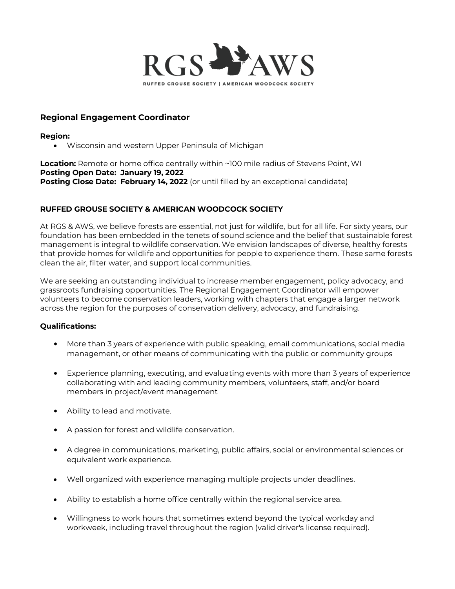

# **Regional Engagement Coordinator**

**Region:**

Wisconsin and western Upper Peninsula of Michigan

**Location:** Remote or home office centrally within ~100 mile radius of Stevens Point, WI **Posting Open Date: January 19, 2022 Posting Close Date: February 14, 2022** (or until filled by an exceptional candidate)

# **RUFFED GROUSE SOCIETY & AMERICAN WOODCOCK SOCIETY**

At RGS & AWS, we believe forests are essential, not just for wildlife, but for all life. For sixty years, our foundation has been embedded in the tenets of sound science and the belief that sustainable forest management is integral to wildlife conservation. We envision landscapes of diverse, healthy forests that provide homes for wildlife and opportunities for people to experience them. These same forests clean the air, filter water, and support local communities.

We are seeking an outstanding individual to increase member engagement, policy advocacy, and grassroots fundraising opportunities. The Regional Engagement Coordinator will empower volunteers to become conservation leaders, working with chapters that engage a larger network across the region for the purposes of conservation delivery, advocacy, and fundraising.

## **Qualifications:**

- More than 3 years of experience with public speaking, email communications, social media management, or other means of communicating with the public or community groups
- Experience planning, executing, and evaluating events with more than 3 years of experience collaborating with and leading community members, volunteers, staff, and/or board members in project/event management
- Ability to lead and motivate.
- A passion for forest and wildlife conservation.
- A degree in communications, marketing, public affairs, social or environmental sciences or equivalent work experience.
- Well organized with experience managing multiple projects under deadlines.
- Ability to establish a home office centrally within the regional service area.
- Willingness to work hours that sometimes extend beyond the typical workday and workweek, including travel throughout the region (valid driver's license required).